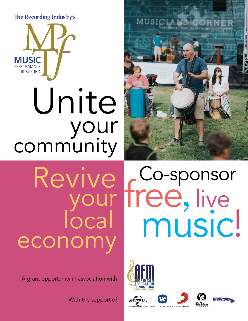The Recording Industry's



# Unite your community



# Revive local econor

A grant opportunity in association with

With the support of











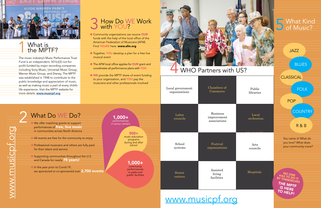.



### WHO Partners with US?



#### 1 What is the MPTF? 1

The music industry's Music Performance Trust Fund is an independent, 501(c)(3) not-forprofit funded by major recording companies including Sony Music, Universal Music Group, Warner Music Group, and Disney. The MPTF was established in 1948 to contribute to the public knowledge and appreciation of music, as well as making music a part of every child's life experience. Visit the MPTF website for

- **Community organizations can source OUR** funds with the help of the local office of the American Federation of Musicians (AFM). Find YOURS here: www.afm.org
- Together, YOU develop a plan for a free live musical event
- **In The AFM local office applies for OUR grant and** coordinates all performance plans with YOU
- **IN WE** provide the MPTF share of event funding to your organization, and YOU pay the musicians and other professionals involved

#### 2 How Do WE Work with YOU? 3

 $P_{\text{L}}$  libraries libraries in the set of  $P_{\text{L}}$ Public libraries

| musicians and other professionals involved<br>as well as making music a part of every child's<br>life experience. Visit the MPTF website for<br>more details: www.musicpf.org                                                                           | Chambers of<br>Local government<br>Commerce<br>organizations                                                                        |
|---------------------------------------------------------------------------------------------------------------------------------------------------------------------------------------------------------------------------------------------------------|-------------------------------------------------------------------------------------------------------------------------------------|
| What Do WE Do?<br>$1,000+$<br>performances<br>We offer matching grants to support<br>in senior centers<br>performances of free, live music<br>in communities across North America                                                                       | <b>Business</b><br>Labor<br>improvement<br>councils<br>associations                                                                 |
| $500+$<br>music education<br>All events are free for the community to enjoy<br>programs<br>during and after<br>Professional musicians and others are fully paid<br>school<br>for their talent and service<br>Supporting communities throughout the U.S. | School<br>Festival<br>organizations<br>systems                                                                                      |
| and Canada for nearly 75 years!<br>In the year prior to Covid-19,<br>we sponsored or co-sponsored over 2,700 events                                                                                                                                     | $1,000+$<br>community<br>performances<br>Assisted<br>in parks and<br>Senior<br>living<br>public facilities<br>centers<br>facilities |
|                                                                                                                                                                                                                                                         |                                                                                                                                     |

Hospitals

**CLASSICAL** 

Local orchestras

Arts councils

 $\Lambda$ rts councils

JAZZ

FOLK

BLUES

POP

#### **COUNTRY**

R & B

You name it! What do you love? What does your community crave?



[www.musicpf.org](https://musicpf.org/)

# **5** What Kind<br> **3** of Music?